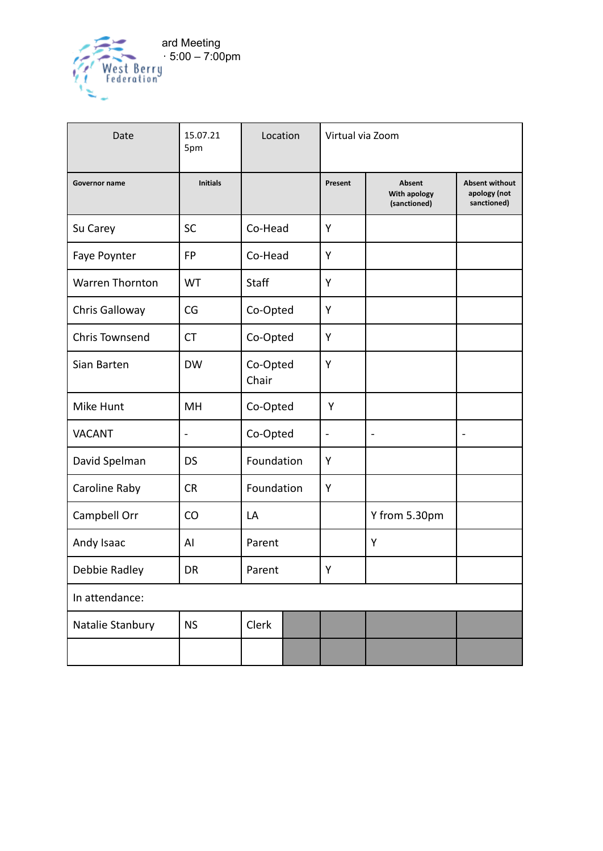

| Date                   | 15.07.21<br>5pm | Location          | Virtual via Zoom     |                                               |                                                      |
|------------------------|-----------------|-------------------|----------------------|-----------------------------------------------|------------------------------------------------------|
| <b>Governor name</b>   | <b>Initials</b> |                   | Present              | <b>Absent</b><br>With apology<br>(sanctioned) | <b>Absent without</b><br>apology (not<br>sanctioned) |
| Su Carey               | <b>SC</b>       | Co-Head           | Y                    |                                               |                                                      |
| Faye Poynter           | <b>FP</b>       | Co-Head           | Y                    |                                               |                                                      |
| <b>Warren Thornton</b> | <b>WT</b>       | Staff             | Y                    |                                               |                                                      |
| Chris Galloway         | CG              | Co-Opted          | Y                    |                                               |                                                      |
| <b>Chris Townsend</b>  | <b>CT</b>       | Co-Opted          | Y                    |                                               |                                                      |
| Sian Barten            | <b>DW</b>       | Co-Opted<br>Chair | Y                    |                                               |                                                      |
| Mike Hunt              | MH              | Co-Opted          | Y                    |                                               |                                                      |
| <b>VACANT</b>          |                 | Co-Opted          | $\ddot{\phantom{0}}$ |                                               |                                                      |
| David Spelman          | <b>DS</b>       | Foundation        | Y                    |                                               |                                                      |
| Caroline Raby          | <b>CR</b>       | Foundation        | Y                    |                                               |                                                      |
| Campbell Orr           | CO              | LA                |                      | Y from 5.30pm                                 |                                                      |
| Andy Isaac             | Al              | Parent            |                      | Y                                             |                                                      |
| Debbie Radley          | <b>DR</b>       | Parent            | Υ                    |                                               |                                                      |
| In attendance:         |                 |                   |                      |                                               |                                                      |
| Natalie Stanbury       | <b>NS</b>       | Clerk             |                      |                                               |                                                      |
|                        |                 |                   |                      |                                               |                                                      |

-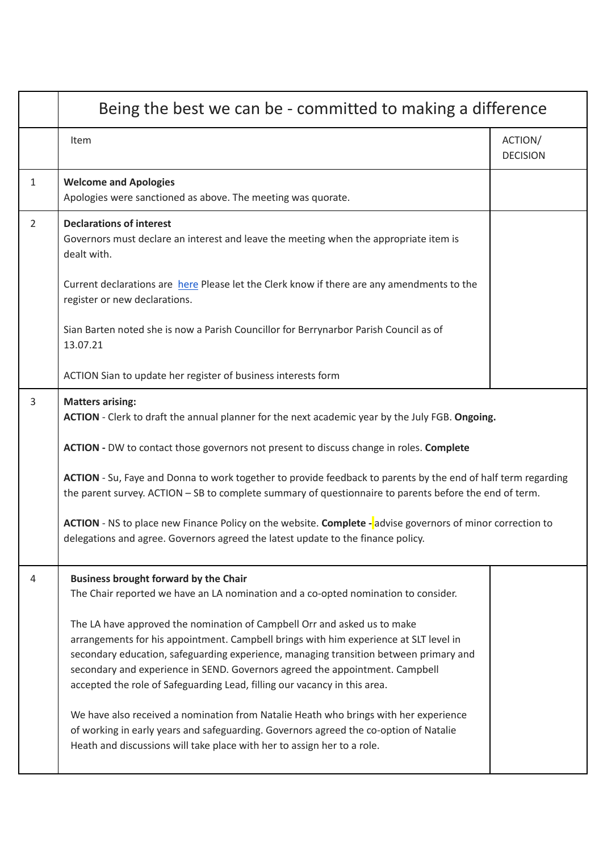|                | Being the best we can be - committed to making a difference                                                                                                                                                                                                                                                                                                                                                             |                            |  |  |
|----------------|-------------------------------------------------------------------------------------------------------------------------------------------------------------------------------------------------------------------------------------------------------------------------------------------------------------------------------------------------------------------------------------------------------------------------|----------------------------|--|--|
|                | Item                                                                                                                                                                                                                                                                                                                                                                                                                    | ACTION/<br><b>DECISION</b> |  |  |
| $\mathbf{1}$   | <b>Welcome and Apologies</b><br>Apologies were sanctioned as above. The meeting was quorate.                                                                                                                                                                                                                                                                                                                            |                            |  |  |
| $\overline{2}$ | <b>Declarations of interest</b><br>Governors must declare an interest and leave the meeting when the appropriate item is<br>dealt with.                                                                                                                                                                                                                                                                                 |                            |  |  |
|                | Current declarations are here Please let the Clerk know if there are any amendments to the<br>register or new declarations.                                                                                                                                                                                                                                                                                             |                            |  |  |
|                | Sian Barten noted she is now a Parish Councillor for Berrynarbor Parish Council as of<br>13.07.21                                                                                                                                                                                                                                                                                                                       |                            |  |  |
|                | ACTION Sian to update her register of business interests form                                                                                                                                                                                                                                                                                                                                                           |                            |  |  |
| 3              | <b>Matters arising:</b><br>ACTION - Clerk to draft the annual planner for the next academic year by the July FGB. Ongoing.                                                                                                                                                                                                                                                                                              |                            |  |  |
|                | ACTION - DW to contact those governors not present to discuss change in roles. Complete                                                                                                                                                                                                                                                                                                                                 |                            |  |  |
|                | ACTION - Su, Faye and Donna to work together to provide feedback to parents by the end of half term regarding<br>the parent survey. ACTION - SB to complete summary of questionnaire to parents before the end of term.                                                                                                                                                                                                 |                            |  |  |
|                | <b>ACTION</b> - NS to place new Finance Policy on the website. Complete - advise governors of minor correction to<br>delegations and agree. Governors agreed the latest update to the finance policy.                                                                                                                                                                                                                   |                            |  |  |
| 4              | <b>Business brought forward by the Chair</b><br>The Chair reported we have an LA nomination and a co-opted nomination to consider.                                                                                                                                                                                                                                                                                      |                            |  |  |
|                | The LA have approved the nomination of Campbell Orr and asked us to make<br>arrangements for his appointment. Campbell brings with him experience at SLT level in<br>secondary education, safeguarding experience, managing transition between primary and<br>secondary and experience in SEND. Governors agreed the appointment. Campbell<br>accepted the role of Safeguarding Lead, filling our vacancy in this area. |                            |  |  |
|                | We have also received a nomination from Natalie Heath who brings with her experience<br>of working in early years and safeguarding. Governors agreed the co-option of Natalie<br>Heath and discussions will take place with her to assign her to a role.                                                                                                                                                                |                            |  |  |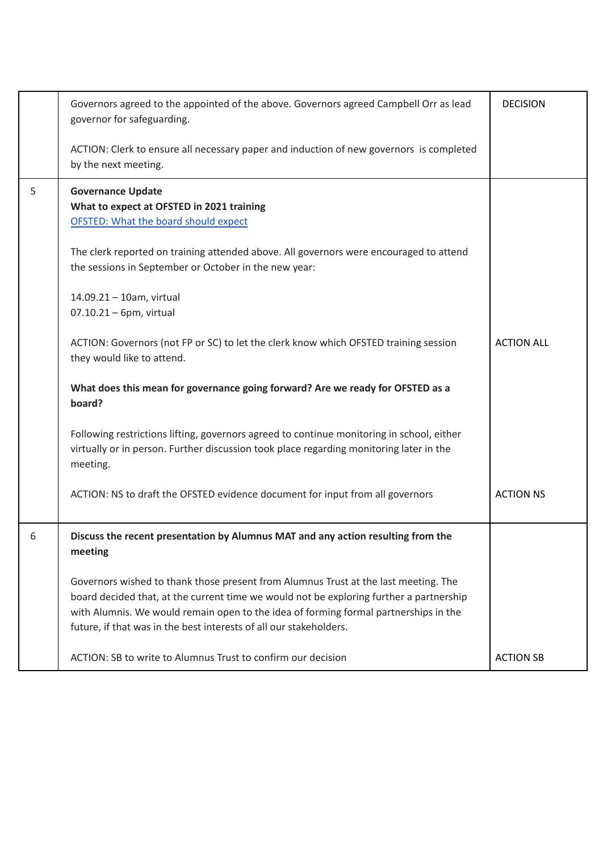|   | Governors agreed to the appointed of the above. Governors agreed Campbell Orr as lead<br>governor for safeguarding.                                                                                                                                                                                                                          | <b>DECISION</b>   |
|---|----------------------------------------------------------------------------------------------------------------------------------------------------------------------------------------------------------------------------------------------------------------------------------------------------------------------------------------------|-------------------|
|   | ACTION: Clerk to ensure all necessary paper and induction of new governors is completed<br>by the next meeting.                                                                                                                                                                                                                              |                   |
| 5 | <b>Governance Update</b><br>What to expect at OFSTED in 2021 training<br><b>OFSTED: What the board should expect</b>                                                                                                                                                                                                                         |                   |
|   | The clerk reported on training attended above. All governors were encouraged to attend<br>the sessions in September or October in the new year:                                                                                                                                                                                              |                   |
|   | 14.09.21 - 10am, virtual<br>$07.10.21 - 6$ pm, virtual                                                                                                                                                                                                                                                                                       |                   |
|   | ACTION: Governors (not FP or SC) to let the clerk know which OFSTED training session<br>they would like to attend.                                                                                                                                                                                                                           | <b>ACTION ALL</b> |
|   | What does this mean for governance going forward? Are we ready for OFSTED as a<br>board?                                                                                                                                                                                                                                                     |                   |
|   | Following restrictions lifting, governors agreed to continue monitoring in school, either<br>virtually or in person. Further discussion took place regarding monitoring later in the<br>meeting.                                                                                                                                             |                   |
|   | ACTION: NS to draft the OFSTED evidence document for input from all governors                                                                                                                                                                                                                                                                | <b>ACTION NS</b>  |
| 6 | Discuss the recent presentation by Alumnus MAT and any action resulting from the<br>meeting                                                                                                                                                                                                                                                  |                   |
|   | Governors wished to thank those present from Alumnus Trust at the last meeting. The<br>board decided that, at the current time we would not be exploring further a partnership<br>with Alumnis. We would remain open to the idea of forming formal partnerships in the<br>future, if that was in the best interests of all our stakeholders. |                   |
|   | ACTION: SB to write to Alumnus Trust to confirm our decision                                                                                                                                                                                                                                                                                 | <b>ACTION SB</b>  |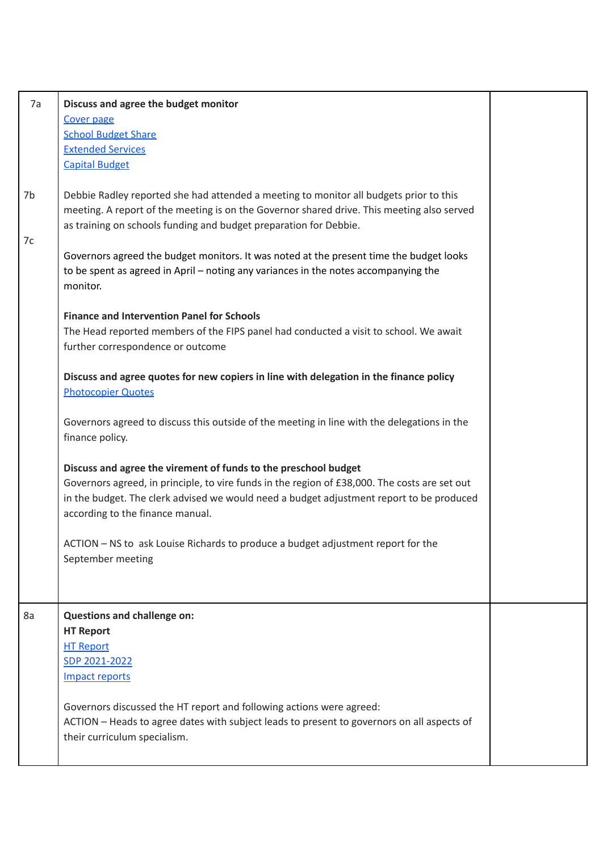| 7a       | Discuss and agree the budget monitor<br><b>Cover page</b><br><b>School Budget Share</b><br><b>Extended Services</b><br><b>Capital Budget</b>                                                                                                                                                                                                                                                                                                                                                                                |  |
|----------|-----------------------------------------------------------------------------------------------------------------------------------------------------------------------------------------------------------------------------------------------------------------------------------------------------------------------------------------------------------------------------------------------------------------------------------------------------------------------------------------------------------------------------|--|
| 7b<br>7c | Debbie Radley reported she had attended a meeting to monitor all budgets prior to this<br>meeting. A report of the meeting is on the Governor shared drive. This meeting also served<br>as training on schools funding and budget preparation for Debbie.<br>Governors agreed the budget monitors. It was noted at the present time the budget looks<br>to be spent as agreed in April - noting any variances in the notes accompanying the<br>monitor.                                                                     |  |
|          | <b>Finance and Intervention Panel for Schools</b><br>The Head reported members of the FIPS panel had conducted a visit to school. We await<br>further correspondence or outcome<br>Discuss and agree quotes for new copiers in line with delegation in the finance policy<br><b>Photocopier Quotes</b>                                                                                                                                                                                                                      |  |
|          | Governors agreed to discuss this outside of the meeting in line with the delegations in the<br>finance policy.<br>Discuss and agree the virement of funds to the preschool budget<br>Governors agreed, in principle, to vire funds in the region of £38,000. The costs are set out<br>in the budget. The clerk advised we would need a budget adjustment report to be produced<br>according to the finance manual.<br>ACTION - NS to ask Louise Richards to produce a budget adjustment report for the<br>September meeting |  |
| 8a       | <b>Questions and challenge on:</b><br><b>HT Report</b><br><b>HT Report</b><br>SDP 2021-2022<br><b>Impact reports</b><br>Governors discussed the HT report and following actions were agreed:<br>ACTION - Heads to agree dates with subject leads to present to governors on all aspects of<br>their curriculum specialism.                                                                                                                                                                                                  |  |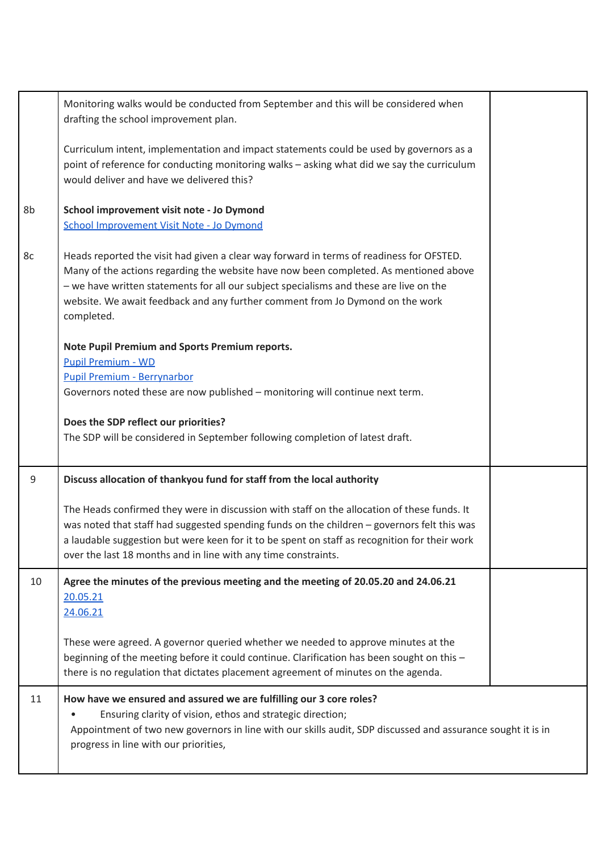|    | Monitoring walks would be conducted from September and this will be considered when<br>drafting the school improvement plan.                                                                                                                                                                                                                                               |  |
|----|----------------------------------------------------------------------------------------------------------------------------------------------------------------------------------------------------------------------------------------------------------------------------------------------------------------------------------------------------------------------------|--|
|    | Curriculum intent, implementation and impact statements could be used by governors as a<br>point of reference for conducting monitoring walks - asking what did we say the curriculum<br>would deliver and have we delivered this?                                                                                                                                         |  |
| 8b | School improvement visit note - Jo Dymond<br>School Improvement Visit Note - Jo Dymond                                                                                                                                                                                                                                                                                     |  |
| 8c | Heads reported the visit had given a clear way forward in terms of readiness for OFSTED.<br>Many of the actions regarding the website have now been completed. As mentioned above<br>- we have written statements for all our subject specialisms and these are live on the<br>website. We await feedback and any further comment from Jo Dymond on the work<br>completed. |  |
|    | Note Pupil Premium and Sports Premium reports.                                                                                                                                                                                                                                                                                                                             |  |
|    | <b>Pupil Premium - WD</b>                                                                                                                                                                                                                                                                                                                                                  |  |
|    | <b>Pupil Premium - Berrynarbor</b><br>Governors noted these are now published - monitoring will continue next term.                                                                                                                                                                                                                                                        |  |
|    |                                                                                                                                                                                                                                                                                                                                                                            |  |
|    | Does the SDP reflect our priorities?                                                                                                                                                                                                                                                                                                                                       |  |
|    | The SDP will be considered in September following completion of latest draft.                                                                                                                                                                                                                                                                                              |  |
| 9  | Discuss allocation of thankyou fund for staff from the local authority                                                                                                                                                                                                                                                                                                     |  |
|    | The Heads confirmed they were in discussion with staff on the allocation of these funds. It<br>was noted that staff had suggested spending funds on the children - governors felt this was<br>a laudable suggestion but were keen for it to be spent on staff as recognition for their work<br>over the last 18 months and in line with any time constraints.              |  |
| 10 | Agree the minutes of the previous meeting and the meeting of 20.05.20 and 24.06.21<br>20.05.21<br>24.06.21                                                                                                                                                                                                                                                                 |  |
|    | These were agreed. A governor queried whether we needed to approve minutes at the<br>beginning of the meeting before it could continue. Clarification has been sought on this -<br>there is no regulation that dictates placement agreement of minutes on the agenda.                                                                                                      |  |
| 11 | How have we ensured and assured we are fulfilling our 3 core roles?<br>Ensuring clarity of vision, ethos and strategic direction;<br>Appointment of two new governors in line with our skills audit, SDP discussed and assurance sought it is in<br>progress in line with our priorities,                                                                                  |  |